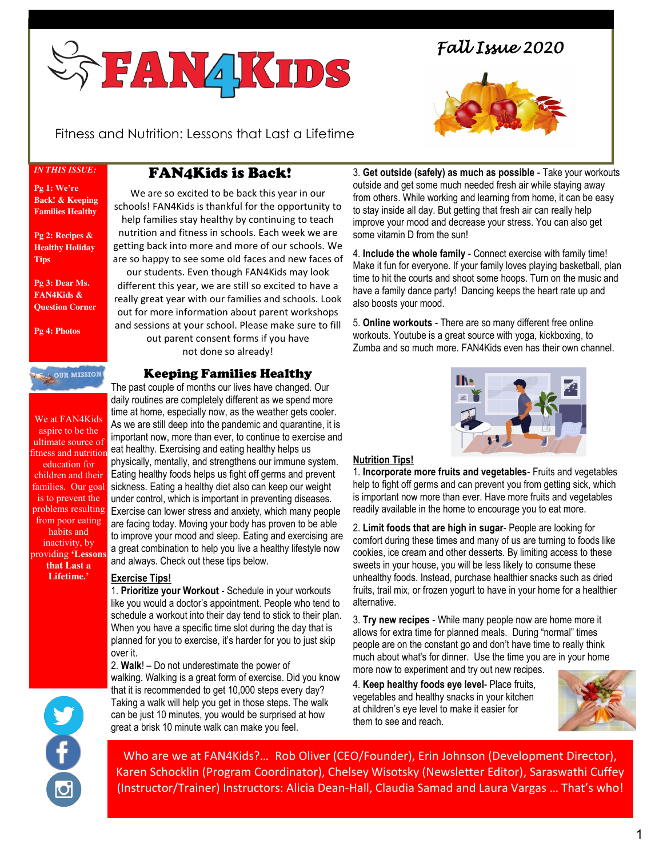

*Fall Issue 2020* 



Fitness and Nutrition: Lessons that Last a Lifetime

*IN THIS ISSUE:*

#### **Pg 1: We're Back! & Keeping Families Healthy**

**Pg 2: Recipes & Healthy Holiday Tips**

**Pg 3: Dear Ms. FAN4Kids & Question Corner**

**Pg 4: Photos** 

**SOUR MISSION** 

We at FAN4Kids aspire to be the ultimate source of fitness and nutrition education for children and their is to prevent the from poor eating habits and inactivity, by providing **'Lessons that Last a Lifetime.'**

# FAN4Kids is Back!

We are so excited to be back this year in our schools! FAN4Kids is thankful for the opportunity to help families stay healthy by continuing to teach nutrition and fitness in schools. Each week we are getting back into more and more of our schools. We are so happy to see some old faces and new faces of

í

our students. Even though FAN4Kids may look different this year, we are still so excited to have a really great year with our families and schools. Look out for more information about parent workshops and sessions at your school. Please make sure to fill out parent consent forms if you have not done so already!

Keeping Families Healthy

families. Our goal sickness. Eating a healthy diet also can keep our weight problems resulting Exercise can lower stress and anxiety, which many people The past couple of months our lives have changed. Our daily routines are completely different as we spend more time at home, especially now, as the weather gets cooler. As we are still deep into the pandemic and quarantine, it is important now, more than ever, to continue to exercise and eat healthy. Exercising and eating healthy helps us physically, mentally, and strengthens our immune system. Eating healthy foods helps us fight off germs and prevent under control, which is important in preventing diseases. are facing today. Moving your body has proven to be able to improve your mood and sleep. Eating and exercising are a great combination to help you live a healthy lifestyle now and always. Check out these tips below.

## **Exercise Tips!**

1. **Prioritize your Workout** - Schedule in your workouts like you would a doctor's appointment. People who tend to schedule a workout into their day tend to stick to their plan. When you have a specific time slot during the day that is planned for you to exercise, it's harder for you to just skip over it.

2. **Walk**! – Do not underestimate the power of walking. Walking is a great form of exercise. Did you know that it is recommended to get 10,000 steps every day? Taking a walk will help you get in those steps. The walk can be just 10 minutes, you would be surprised at how great a brisk 10 minute walk can make you feel.

3. **Get outside (safely) as much as possible** - Take your workouts outside and get some much needed fresh air while staying away from others. While working and learning from home, it can be easy to stay inside all day. But getting that fresh air can really help improve your mood and decrease your stress. You can also get some vitamin D from the sun!

4. **Include the whole family** - Connect exercise with family time! Make it fun for everyone. If your family loves playing basketball, plan time to hit the courts and shoot some hoops. Turn on the music and have a family dance party! Dancing keeps the heart rate up and also boosts your mood.

5. **Online workouts** - There are so many different free online workouts. Youtube is a great source with yoga, kickboxing, to Zumba and so much more. FAN4Kids even has their own channel.



### **Nutrition Tips!**

1. **Incorporate more fruits and vegetables**- Fruits and vegetables help to fight off germs and can prevent you from getting sick, which is important now more than ever. Have more fruits and vegetables readily available in the home to encourage you to eat more.

2. **Limit foods that are high in sugar**- People are looking for comfort during these times and many of us are turning to foods like cookies, ice cream and other desserts. By limiting access to these sweets in your house, you will be less likely to consume these unhealthy foods. Instead, purchase healthier snacks such as dried fruits, trail mix, or frozen yogurt to have in your home for a healthier alternative.

3. **Try new recipes** - While many people now are home more it allows for extra time for planned meals. During "normal" times people are on the constant go and don't have time to really think much about what's for dinner. Use the time you are in your home more now to experiment and try out new recipes.

4. **Keep healthy foods eye level**- Place fruits, vegetables and healthy snacks in your kitchen at children's eye level to make it easier for them to see and reach.



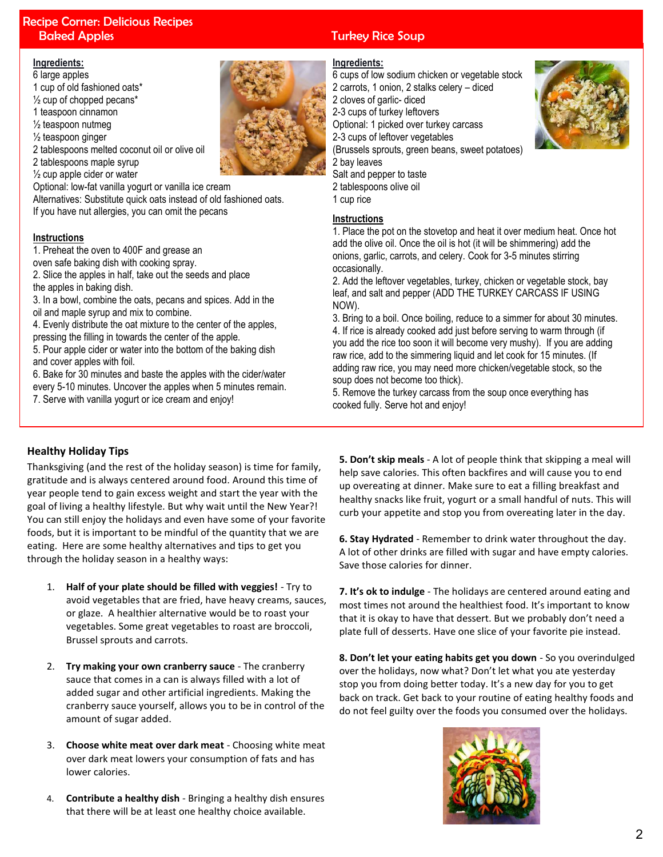# Recipe Corner: Delicious Recipes **Baked Apples Turkey Rice Soup**

#### **Ingredients:**

6 large apples

- 1 cup of old fashioned oats\*
- $\frac{1}{2}$  cup of chopped pecans\*
- 1 teaspoon cinnamon
- ½ teaspoon nutmeg
- ½ teaspoon ginger
- 2 tablespoons melted coconut oil or olive oil

2 tablespoons maple syrup

 $\frac{1}{2}$  cup apple cider or water

Optional: low-fat vanilla yogurt or vanilla ice cream Alternatives: Substitute quick oats instead of old fashioned oats. If you have nut allergies, you can omit the pecans

#### **Instructions**

1. Preheat the oven to 400F and grease an

oven safe baking dish with cooking spray.

2. Slice the apples in half, take out the seeds and place the apples in baking dish.

3. In a bowl, combine the oats, pecans and spices. Add in the oil and maple syrup and mix to combine.

4. Evenly distribute the oat mixture to the center of the apples, pressing the filling in towards the center of the apple.

5. Pour apple cider or water into the bottom of the baking dish and cover apples with foil.

6. Bake for 30 minutes and baste the apples with the cider/water every 5-10 minutes. Uncover the apples when 5 minutes remain.

7. Serve with vanilla yogurt or ice cream and enjoy!

#### **Ingredients:**

6 cups of low sodium chicken or vegetable stock 2 carrots, 1 onion, 2 stalks celery – diced 2 cloves of garlic- diced 2-3 cups of turkey leftovers Optional: 1 picked over turkey carcass 2-3 cups of leftover vegetables (Brussels sprouts, green beans, sweet potatoes) 2 bay leaves

Salt and pepper to taste

- 2 tablespoons olive oil
- 1 cup rice

#### **Instructions**

1. Place the pot on the stovetop and heat it over medium heat. Once hot add the olive oil. Once the oil is hot (it will be shimmering) add the onions, garlic, carrots, and celery. Cook for 3-5 minutes stirring occasionally.

2. Add the leftover vegetables, turkey, chicken or vegetable stock, bay leaf, and salt and pepper (ADD THE TURKEY CARCASS IF USING NOW).

3. Bring to a boil. Once boiling, reduce to a simmer for about 30 minutes. 4. If rice is already cooked add just before serving to warm through (if you add the rice too soon it will become very mushy). If you are adding raw rice, add to the simmering liquid and let cook for 15 minutes. (If adding raw rice, you may need more chicken/vegetable stock, so the soup does not become too thick).

5. Remove the turkey carcass from the soup once everything has cooked fully. Serve hot and enjoy!

### **Healthy Holiday Tips**

Thanksgiving (and the rest of the holiday season) is time for family, gratitude and is always centered around food. Around this time of year people tend to gain excess weight and start the year with the goal of living a healthy lifestyle. But why wait until the New Year?! You can still enjoy the holidays and even have some of your favorite foods, but it is important to be mindful of the quantity that we are eating. Here are some healthy alternatives and tips to get you through the holiday season in a healthy ways:

- 1. **Half of your plate should be filled with veggies!** Try to avoid vegetables that are fried, have heavy creams, sauces, or glaze. A healthier alternative would be to roast your vegetables. Some great vegetables to roast are broccoli, Brussel sprouts and carrots.
- 2. **Try making your own cranberry sauce** The cranberry sauce that comes in a can is always filled with a lot of added sugar and other artificial ingredients. Making the cranberry sauce yourself, allows you to be in control of the amount of sugar added.
- 3. **Choose white meat over dark meat** Choosing white meat over dark meat lowers your consumption of fats and has lower calories.
- 4. **Contribute a healthy dish** Bringing a healthy dish ensures that there will be at least one healthy choice available.

**5. Don't skip meals** - A lot of people think that skipping a meal will help save calories. This often backfires and will cause you to end up overeating at dinner. Make sure to eat a filling breakfast and healthy snacks like fruit, yogurt or a small handful of nuts. This will curb your appetite and stop you from overeating later in the day.

**6. Stay Hydrated** - Remember to drink water throughout the day. A lot of other drinks are filled with sugar and have empty calories. Save those calories for dinner.

**7. It's ok to indulge** - The holidays are centered around eating and most times not around the healthiest food. It's important to know that it is okay to have that dessert. But we probably don't need a plate full of desserts. Have one slice of your favorite pie instead.

**8. Don't let your eating habits get you down** - So you overindulged over the holidays, now what? Don't let what you ate yesterday stop you from doing better today. It's a new day for you to get back on track. Get back to your routine of eating healthy foods and do not feel guilty over the foods you consumed over the holidays.



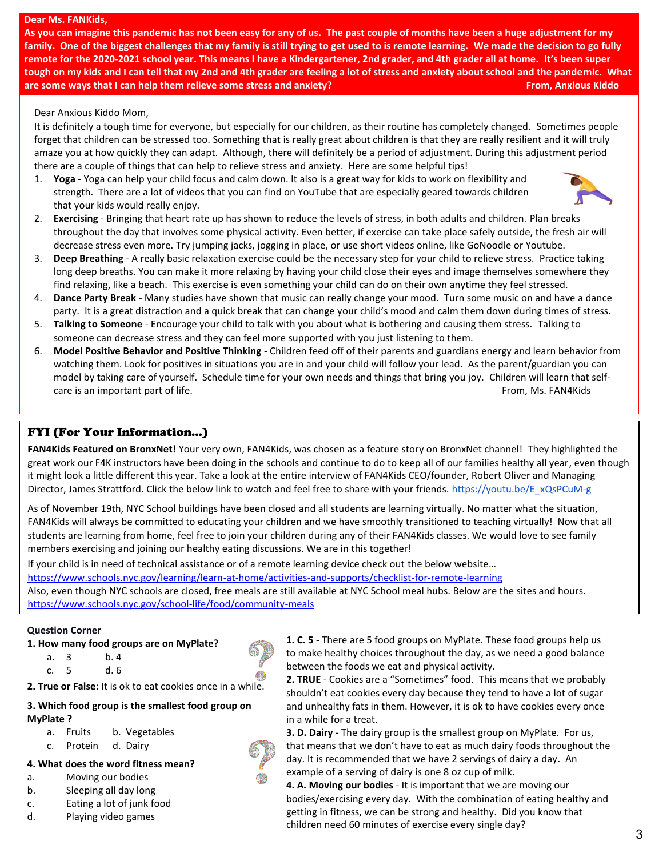#### **Dear Ms. FANKids,**

**Mom**

**As you can imagine this pandemic has not been easy for any of us. The past couple of months have been a huge adjustment for my family. One of the biggest challenges that my family is still trying to get used to is remote learning. We made the decision to go fully remote for the 2020-2021 school year. This means I have a Kindergartener, 2nd grader, and 4th grader all at home. It's been super tough on my kids and I can tell that my 2nd and 4th grader are feeling a lot of stress and anxiety about school and the pandemic. What are some ways that I can help them relieve some stress and anxiety? <b>From, From,** Anxious Kiddo **From,** Anxious Kiddo

#### Dear Anxious Kiddo Mom,

It is definitely a tough time for everyone, but especially for our children, as their routine has completely changed. Sometimes people forget that children can be stressed too. Something that is really great about children is that they are really resilient and it will truly amaze you at how quickly they can adapt. Although, there will definitely be a period of adjustment. During this adjustment period there are a couple of things that can help to relieve stress and anxiety. Here are some helpful tips!

1. **Yoga** - Yoga can help your child focus and calm down. It also is a great way for kids to work on flexibility and strength. There are a lot of videos that you can find on YouTube that are especially geared towards children that your kids would really enjoy.



- 2. **Exercising** Bringing that heart rate up has shown to reduce the levels of stress, in both adults and children. Plan breaks throughout the day that involves some physical activity. Even better, if exercise can take place safely outside, the fresh air will decrease stress even more. Try jumping jacks, jogging in place, or use short videos online, like GoNoodle or Youtube.
- 3. **Deep Breathing** A really basic relaxation exercise could be the necessary step for your child to relieve stress. Practice taking long deep breaths. You can make it more relaxing by having your child close their eyes and image themselves somewhere they find relaxing, like a beach. This exercise is even something your child can do on their own anytime they feel stressed.
- 4. **Dance Party Break** Many studies have shown that music can really change your mood. Turn some music on and have a dance party. It is a great distraction and a quick break that can change your child's mood and calm them down during times of stress.
- 5. **Talking to Someone** Encourage your child to talk with you about what is bothering and causing them stress. Talking to someone can decrease stress and they can feel more supported with you just listening to them.
- 6. **Model Positive Behavior and Positive Thinking** Children feed off of their parents and guardians energy and learn behavior from watching them. Look for positives in situations you are in and your child will follow your lead. As the parent/guardian you can model by taking care of yourself. Schedule time for your own needs and things that bring you joy. Children will learn that selfcare is an important part of life. The state of the state of the state of the state of the state of the state of the state of the state of the state of the state of the state of the state of the state of the state of the s

#### FYI (For Your Information…)

**FAN4Kids Featured on BronxNet!** Your very own, FAN4Kids, was chosen as a feature story on BronxNet channel! They highlighted the great work our F4K instructors have been doing in the schools and continue to do to keep all of our families healthy all year, even though it might look a little different this year. Take a look at the entire interview of FAN4Kids CEO/founder, Robert Oliver and Managing Director, James Strattford. Click the below link to watch and feel free to share with your friends. https://youtu.be/E\_xQsPCuM-g

As of November 19th, NYC School buildings have been closed and all students are learning virtually. No matter what the situation, FAN4Kids will always be committed to educating your children and we have smoothly transitioned to teaching virtually! Now that all students are learning from home, feel free to join your children during any of their FAN4Kids classes. We would love to see family members exercising and joining our healthy eating discussions. We are in this together!

If your child is in need of technical assistance or of a remote learning device check out the below website…

https://www.schools.nyc.gov/learning/learn-at-home/activities-and-supports/checklist-for-remote-learning

Also, even though NYC schools are closed, free meals are still available at NYC School meal hubs. Below are the sites and hours. https://www.schools.nyc.gov/school-life/food/community-meals

#### **Question Corner**

- **1. How many food groups are on MyPlate?**
	- a. 3 b. 4 c. 5 d. 6
	-

**2. True or False:** It is ok to eat cookies once in a while.

#### **3. Which food group is the smallest food group on MyPlate ?**

- a. Fruits b. Vegetables
- c. Protein d. Dairy

### **4. What does the word fitness mean?**

- a. Moving our bodies
- b. Sleeping all day long
- c. Eating a lot of junk food
- d. Playing video games



**2. TRUE** - Cookies are a "Sometimes" food. This means that we probably shouldn't eat cookies every day because they tend to have a lot of sugar and unhealthy fats in them. However, it is ok to have cookies every once in a while for a treat.

**3. D. Dairy** - The dairy group is the smallest group on MyPlate. For us, that means that we don't have to eat as much dairy foods throughout the day. It is recommended that we have 2 servings of dairy a day. An example of a serving of dairy is one 8 oz cup of milk.

**4. A. Moving our bodies** - It is important that we are moving our bodies/exercising every day. With the combination of eating healthy and getting in fitness, we can be strong and healthy. Did you know that children need 60 minutes of exercise every single day?